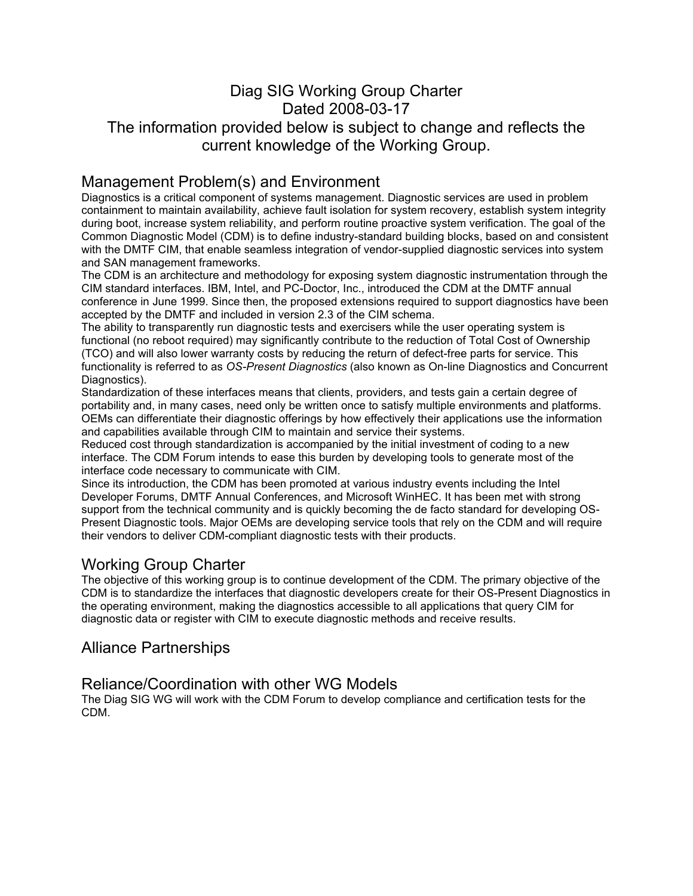# Diag SIG Working Group Charter Dated 2008-03-17

### The information provided below is subject to change and reflects the current knowledge of the Working Group.

### Management Problem(s) and Environment

Diagnostics is a critical component of systems management. Diagnostic services are used in problem containment to maintain availability, achieve fault isolation for system recovery, establish system integrity during boot, increase system reliability, and perform routine proactive system verification. The goal of the Common Diagnostic Model (CDM) is to define industry-standard building blocks, based on and consistent with the DMTF CIM, that enable seamless integration of vendor-supplied diagnostic services into system and SAN management frameworks.

The CDM is an architecture and methodology for exposing system diagnostic instrumentation through the CIM standard interfaces. IBM, Intel, and PC-Doctor, Inc., introduced the CDM at the DMTF annual conference in June 1999. Since then, the proposed extensions required to support diagnostics have been accepted by the DMTF and included in version 2.3 of the CIM schema.

The ability to transparently run diagnostic tests and exercisers while the user operating system is functional (no reboot required) may significantly contribute to the reduction of Total Cost of Ownership (TCO) and will also lower warranty costs by reducing the return of defect-free parts for service. This functionality is referred to as *OS-Present Diagnostics* (also known as On-line Diagnostics and Concurrent Diagnostics).

Standardization of these interfaces means that clients, providers, and tests gain a certain degree of portability and, in many cases, need only be written once to satisfy multiple environments and platforms. OEMs can differentiate their diagnostic offerings by how effectively their applications use the information and capabilities available through CIM to maintain and service their systems.

Reduced cost through standardization is accompanied by the initial investment of coding to a new interface. The CDM Forum intends to ease this burden by developing tools to generate most of the interface code necessary to communicate with CIM.

Since its introduction, the CDM has been promoted at various industry events including the Intel Developer Forums, DMTF Annual Conferences, and Microsoft WinHEC. It has been met with strong support from the technical community and is quickly becoming the de facto standard for developing OS-Present Diagnostic tools. Major OEMs are developing service tools that rely on the CDM and will require their vendors to deliver CDM-compliant diagnostic tests with their products.

### Working Group Charter

The objective of this working group is to continue development of the CDM. The primary objective of the CDM is to standardize the interfaces that diagnostic developers create for their OS-Present Diagnostics in the operating environment, making the diagnostics accessible to all applications that query CIM for diagnostic data or register with CIM to execute diagnostic methods and receive results.

### Alliance Partnerships

#### Reliance/Coordination with other WG Models

The Diag SIG WG will work with the CDM Forum to develop compliance and certification tests for the CDM.